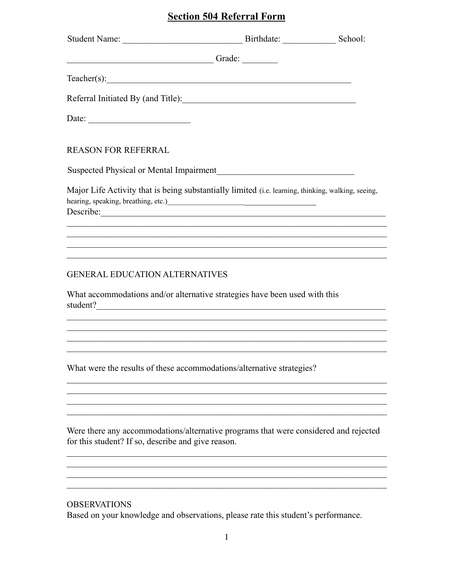## **Section 504 Referral Form**

| Teacher(s):                                                                                                                                                                                                                                                                                                                                 |  |
|---------------------------------------------------------------------------------------------------------------------------------------------------------------------------------------------------------------------------------------------------------------------------------------------------------------------------------------------|--|
| Referral Initiated By (and Title):                                                                                                                                                                                                                                                                                                          |  |
| Date:                                                                                                                                                                                                                                                                                                                                       |  |
| <b>REASON FOR REFERRAL</b>                                                                                                                                                                                                                                                                                                                  |  |
|                                                                                                                                                                                                                                                                                                                                             |  |
| Major Life Activity that is being substantially limited (i.e. learning, thinking, walking, seeing,<br>hearing, speaking, breathing, etc.)<br><u>Learning</u> and the speaking of the speaking of the speaking of the speaking of the speaking of the speaking of the speaking of the speaking of the speaking of the speaking of the speaki |  |
| ,我们也不能在这里的人,我们也不能在这里的人,我们也不能在这里的人,我们也不能在这里的人,我们也不能在这里的人,我们也不能在这里的人,我们也不能在这里的人,我们也                                                                                                                                                                                                                                                           |  |
| <b>GENERAL EDUCATION ALTERNATIVES</b>                                                                                                                                                                                                                                                                                                       |  |
| What accommodations and/or alternative strategies have been used with this<br>student?                                                                                                                                                                                                                                                      |  |
|                                                                                                                                                                                                                                                                                                                                             |  |
|                                                                                                                                                                                                                                                                                                                                             |  |
| What were the results of these accommodations/alternative strategies?                                                                                                                                                                                                                                                                       |  |
|                                                                                                                                                                                                                                                                                                                                             |  |
|                                                                                                                                                                                                                                                                                                                                             |  |
| Were there any accommodations/alternative programs that were considered and rejected<br>for this student? If so, describe and give reason.                                                                                                                                                                                                  |  |
|                                                                                                                                                                                                                                                                                                                                             |  |
|                                                                                                                                                                                                                                                                                                                                             |  |

## **OBSERVATIONS**

Based on your knowledge and observations, please rate this student's performance.